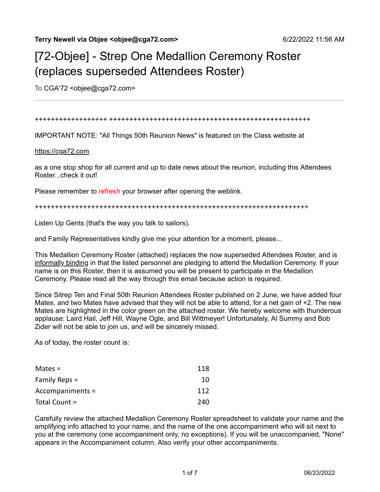# [72-Objee] - Strep One Medallion Ceremony Roster (replaces superseded Attendees Roster)

To CGA'72 < objee@cga72.com>

#### ++++++++++++++++++ ++++++++++++++++++++++++++++++++++++++++++++++++++

IMPORTANT NOTE: "All Things 50th Reunion News" is featured on the Class website at

#### [https://cga72.com](https://cga72.com/)

as a one stop shop for all current and up to date news about the reunion, including this Attendees Roster...check it out!

Please remember to refresh your browser after opening the weblink.

++++++++++++++++++++++++++++++++++++++++++++++++++++++++++++++++++++

Listen Up Gents (that's the way you talk to sailors),

and Family Representatives kindly give me your attention for a moment, please...

This Medallion Ceremony Roster (attached) replaces the now superseded Attendees Roster, and is informally binding in that the listed personnel are pledging to attend the Medallion Ceremony. If your name is on this Roster, then it is assumed you will be present to participate in the Medallion Ceremony. Please read all the way through this email because action is required.

Since Sitrep Ten and Final 50th Reunion Attendees Roster published on 2 June, we have added four Mates, and two Mates have advised that they will not be able to attend, for a net gain of +2. The new Mates are highlighted in the color green on the attached roster. We hereby welcome with thunderous applause: Laird Hail, Jeff Hill, Wayne Ogle, and Bill Wittmeyer! Unfortunately, Al Summy and Bob Zider will not be able to join us, and will be sincerely missed.

As of today, the roster count is:

| Mates $=$        | 118 |
|------------------|-----|
| Family Reps $=$  | 10  |
| Accompaniments = | 112 |
| Total Count =    | 240 |

Carefully review the attached Medallion Ceremony Roster spreadsheet to validate your name and the amplifying info attached to your name, and the name of the one accompaniment who will sit next to you at the ceremony (one accompaniment only, no exceptions). If you will be unaccompanied, "None" appears in the Accompaniment column. Also verify your other accompaniments.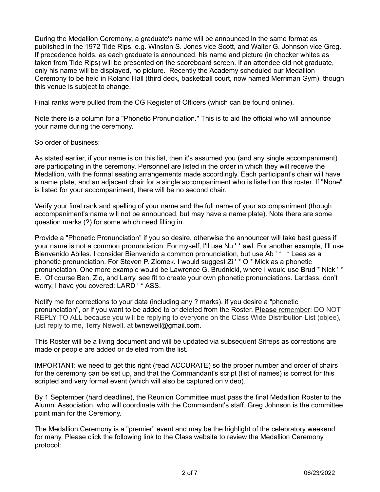During the Medallion Ceremony, a graduate's name will be announced in the same format as published in the 1972 Tide Rips, e.g. Winston S. Jones vice Scott, and Walter G. Johnson vice Greg. If precedence holds, as each graduate is announced, his name and picture (in chocker whites as taken from Tide Rips) will be presented on the scoreboard screen. If an attendee did not graduate, only his name will be displayed, no picture. Recently the Academy scheduled our Medallion Ceremony to be held in Roland Hall (third deck, basketball court, now named Merriman Gym), though this venue is subject to change.

Final ranks were pulled from the CG Register of Officers (which can be found online).

Note there is a column for a "Phonetic Pronunciation." This is to aid the official who will announce your name during the ceremony.

So order of business:

As stated earlier, if your name is on this list, then it's assumed you (and any single accompaniment) are participating in the ceremony. Personnel are listed in the order in which they will receive the Medallion, with the formal seating arrangements made accordingly. Each participant's chair will have a name plate, and an adjacent chair for a single accompaniment who is listed on this roster. If "None" is listed for your accompaniment, there will be no second chair.

Verify your final rank and spelling of your name and the full name of your accompaniment (though accompaniment's name will not be announced, but may have a name plate). Note there are some question marks (?) for some which need filling in.

Provide a "Phonetic Pronunciation" if you so desire, otherwise the announcer will take best guess if your name is not a common pronunciation. For myself, I'll use Nu ' \* awl. For another example, I'll use Bienvenido Abiles. I consider Bienvenido a common pronunciation, but use Ab ' \* i \* Lees as a phonetic pronunciation. For Steven P. Ziomek. I would suggest Zi ' \* O \* Mick as a phonetic pronunciation. One more example would be Lawrence G. Brudnicki, where I would use Brud \* Nick ' \* E. Of course Ben, Zio, and Larry, see fit to create your own phonetic pronunciations. Lardass, don't worry, I have you covered: LARD ' \* ASS.

Notify me for corrections to your data (including any ? marks), if you desire a "phonetic pronunciation", or if you want to be added to or deleted from the Roster. **Please** remember: DO NOT REPLY TO ALL because you will be replying to everyone on the Class Wide Distribution List (objee), just reply to me, Terry Newell, at [twnewell@gmail.com.](mailto:twnewell@gmail.com)

This Roster will be a living document and will be updated via subsequent Sitreps as corrections are made or people are added or deleted from the list.

IMPORTANT: we need to get this right (read ACCURATE) so the proper number and order of chairs for the ceremony can be set up, and that the Commandant's script (list of names) is correct for this scripted and very formal event (which will also be captured on video).

By 1 September (hard deadline), the Reunion Committee must pass the final Medallion Roster to the Alumni Association, who will coordinate with the Commandant's staff. Greg Johnson is the committee point man for the Ceremony.

The Medallion Ceremony is a "premier" event and may be the highlight of the celebratory weekend for many. Please click the following link to the Class website to review the Medallion Ceremony protocol: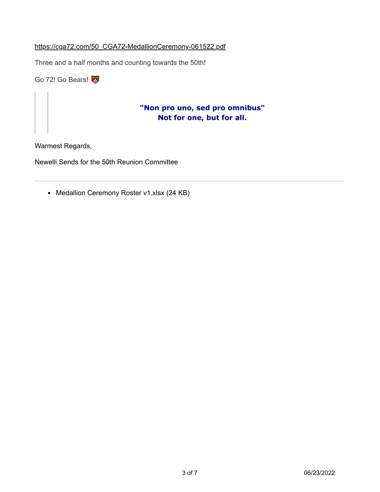### [https://cga72.com/50\\_CGA72-MedallionCeremony-061522.pdf](https://cga72.com/50_CGA72-MedallionCeremony-061522.pdf)

Three and a half months and counting towards the 50th!

Go 72! Go Bears!

## **"Non pro uno, sed pro omnibus" Not for one, but for all.**

Warmest Regards,

Newelli Sends for the 50th Reunion Committee

• Medallion Ceremony Roster v1.xlsx (24 KB)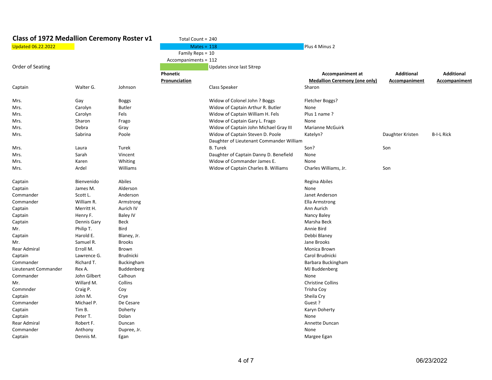| Class of 1972 Medallion Ceremony Roster v1 |              | Total Count = 240 |                      |                                                                              |                                      |                   |                   |
|--------------------------------------------|--------------|-------------------|----------------------|------------------------------------------------------------------------------|--------------------------------------|-------------------|-------------------|
| <b>Updated 06.22.2022</b>                  |              |                   |                      | $Mates = 118$                                                                | Plus 4 Minus 2                       |                   |                   |
|                                            |              |                   | Family Reps = 10     |                                                                              |                                      |                   |                   |
|                                            |              |                   | Accompaniments = 112 |                                                                              |                                      |                   |                   |
| Order of Seating                           |              |                   |                      | Updates since last Sitrep                                                    |                                      |                   |                   |
|                                            |              |                   | Phonetic             |                                                                              | <b>Accompaniment at</b>              | <b>Additional</b> | <b>Additional</b> |
|                                            |              |                   | Pronunciation        |                                                                              | <b>Medallion Ceremony (one only)</b> | Accompaniment     | Accompaniment     |
| Captain                                    | Walter G.    | Johnson           |                      | Class Speaker                                                                | Sharon                               |                   |                   |
| Mrs.                                       | Gay          | <b>Boggs</b>      |                      | Widow of Colonel John ? Boggs                                                | Fletcher Boggs?                      |                   |                   |
| Mrs.                                       | Carolyn      | <b>Butler</b>     |                      | Widow of Captain Arthur R. Butler                                            | None                                 |                   |                   |
| Mrs.                                       | Carolyn      | Fels              |                      | Widow of Captain William H. Fels                                             | Plus 1 name?                         |                   |                   |
| Mrs.                                       | Sharon       | Frago             |                      | Widow of Captain Gary L. Frago                                               | None                                 |                   |                   |
| Mrs.                                       | Debra        | Gray              |                      | Widow of Captain John Michael Gray III                                       | Marianne McGuirk                     |                   |                   |
| Mrs.                                       | Sabrina      | Poole             |                      | Widow of Captain Steven D. Poole<br>Daughter of Lieutenant Commander William | Katelyn?                             | Daughter Kristen  | <b>B-I-L Rick</b> |
| Mrs.                                       | Laura        | Turek             |                      | <b>B.</b> Turek                                                              | Son?                                 | Son               |                   |
| Mrs.                                       | Sarah        | Vincent           |                      | Daughter of Captain Danny D. Benefield                                       | None                                 |                   |                   |
| Mrs.                                       | Karen        | Whiting           |                      | Widow of Commander James E.                                                  | None                                 |                   |                   |
| Mrs.                                       | Ardel        | Williams          |                      | Widow of Captain Charles B. Williams                                         | Charles Williams, Jr.                | Son               |                   |
| Captain                                    | Bienvenido   | Abiles            |                      |                                                                              | Regina Abiles                        |                   |                   |
| Captain                                    | James M.     | Alderson          |                      |                                                                              | None                                 |                   |                   |
| Commander                                  | Scott L.     | Anderson          |                      |                                                                              | Janet Anderson                       |                   |                   |
| Commander                                  | William R.   | Armstrong         |                      |                                                                              | Ella Armstrong                       |                   |                   |
| Captain                                    | Merritt H.   | Aurich IV         |                      |                                                                              | Ann Aurich                           |                   |                   |
| Captain                                    | Henry F.     | Baley IV          |                      |                                                                              | Nancy Baley                          |                   |                   |
| Captain                                    | Dennis Gary  | Beck              |                      |                                                                              | Marsha Beck                          |                   |                   |
| Mr.                                        | Philip T.    | Bird              |                      |                                                                              | Annie Bird                           |                   |                   |
| Captain                                    | Harold E.    | Blaney, Jr.       |                      |                                                                              | Debbi Blaney                         |                   |                   |
| Mr.                                        | Samuel R.    | <b>Brooks</b>     |                      |                                                                              | Jane Brooks                          |                   |                   |
| Rear Admiral                               | Erroll M.    | Brown             |                      |                                                                              | Monica Brown                         |                   |                   |
| Captain                                    | Lawrence G.  | Brudnicki         |                      |                                                                              | Carol Brudnicki                      |                   |                   |
| Commander                                  | Richard T.   | Buckingham        |                      |                                                                              | Barbara Buckingham                   |                   |                   |
| Lieutenant Commander                       | Rex A.       | Buddenberg        |                      |                                                                              | MJ Buddenberg                        |                   |                   |
| Commander                                  | John Gilbert | Calhoun           |                      |                                                                              | None                                 |                   |                   |
| Mr.                                        | Willard M.   | Collins           |                      |                                                                              | <b>Christine Collins</b>             |                   |                   |
| Commnder                                   | Craig P.     | Coy               |                      |                                                                              | Trisha Coy                           |                   |                   |
| Captain                                    | John M.      | Crye              |                      |                                                                              | Sheila Cry                           |                   |                   |
| Commander                                  | Michael P.   | De Cesare         |                      |                                                                              | Guest ?                              |                   |                   |
| Captain                                    | Tim B.       | Doherty           |                      |                                                                              | Karyn Doherty                        |                   |                   |
| Captain                                    | Peter T.     | Dolan             |                      |                                                                              | None                                 |                   |                   |
| Rear Admiral                               | Robert F.    | Duncan            |                      |                                                                              | Annette Duncan                       |                   |                   |
| Commander                                  | Anthony      | Dupree, Jr.       |                      |                                                                              | None                                 |                   |                   |
| Captain                                    | Dennis M.    | Egan              |                      |                                                                              | Margee Egan                          |                   |                   |
|                                            |              |                   |                      |                                                                              |                                      |                   |                   |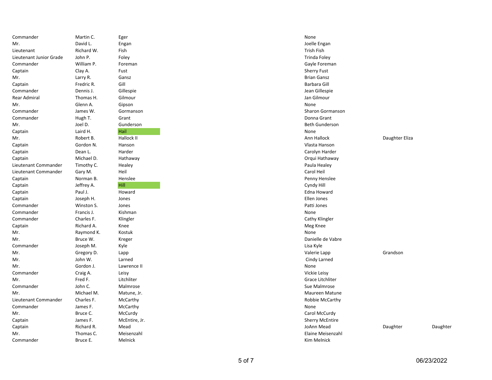| Commander               | Martin C.  | Eger          | None                    |  |
|-------------------------|------------|---------------|-------------------------|--|
| Mr.                     | David L.   | Engan         | Joelle Engan            |  |
| Lieutenant              | Richard W. | Fish          | Trish Fish              |  |
| Lieutenant Junior Grade | John P.    | Foley         | Trinda Foley            |  |
| Commander               | William P. | Foreman       | Gayle Foreman           |  |
| Captain                 | Clay A.    | Fust          | <b>Sherry Fust</b>      |  |
| Mr.                     | Larry R.   | Gansz         | <b>Brian Gansz</b>      |  |
| Captain                 | Fredric R. | Gill          | Barbara Gill            |  |
| Commander               | Dennis J.  | Gillespie     | Jean Gillespie          |  |
| Rear Admiral            | Thomas H.  | Gilmour       | Jan Gilmour             |  |
| Mr.                     | Glenn A.   | Gipson        | None                    |  |
| Commander               | James W.   | Gormanson     | <b>Sharon Gormanson</b> |  |
| Commander               | Hugh T.    | Grant         | Donna Grant             |  |
| Mr.                     | Joel D.    | Gunderson     | <b>Beth Gunderson</b>   |  |
| Captain                 | Laird H.   | Hail          | None                    |  |
| Mr.                     | Robert B.  | Hallock II    | Ann Hallock             |  |
| Captain                 | Gordon N.  | Hanson        | Vlasta Hanson           |  |
| Captain                 | Dean L.    | Harder        | Carolyn Harder          |  |
| Captain                 | Michael D. | Hathaway      | Orqui Hathaway          |  |
| Lieutenant Commander    | Timothy C. | Healey        | Paula Healey            |  |
| Lieutenant Commander    | Gary M.    | Heil          | Carol Heil              |  |
| Captain                 | Norman B.  | Henslee       | Penny Henslee           |  |
| Captain                 | Jeffrey A. | Hill          | Cyndy Hill              |  |
| Captain                 | Paul J.    | Howard        | <b>Edna Howard</b>      |  |
| Captain                 | Joseph H.  | Jones         | Ellen Jones             |  |
| Commander               | Winston S. | Jones         | Patti Jones             |  |
| Commander               | Francis J. | Kishman       | None                    |  |
| Commander               | Charles F. | Klingler      | Cathy Klingler          |  |
| Captain                 | Richard A. | Knee          | Meg Knee                |  |
| Mr.                     | Raymond K. | Kostuk        | None                    |  |
| Mr.                     | Bruce W.   | Kreger        | Danielle de Vabre       |  |
| Commander               | Joseph M.  | Kyle          | Lisa Kyle               |  |
| Mr.                     | Gregory D. | Lapp          | Valerie Lapp            |  |
| Mr.                     | John W.    | Larned        | Cindy Larned            |  |
| Mr.                     | Gordon J.  | Lawrence II   | None                    |  |
| Commander               | Craig A.   | Leisy         | Vickie Leisy            |  |
| Mr.                     | Fred F.    | Litchliter    | Grace Litchliter        |  |
| Commander               | John C.    | Malmrose      | Sue Malmrose            |  |
| Mr.                     | Michael M. | Matune, Jr.   | Maureen Matune          |  |
| Lieutenant Commander    | Charles F. | McCarthy      | Robbie McCarthy         |  |
| Commander               | James F.   | McCarthy      | None                    |  |
| Mr.                     | Bruce C.   | McCurdy       | Carol McCurdy           |  |
| Captain                 | James F.   | McEntire, Jr. | <b>Sherry McEntire</b>  |  |
| Captain                 | Richard R. | Mead          | JoAnn Mead              |  |
| Mr.                     | Thomas C.  | Meisenzahl    | Elaine Meisenzahl       |  |
| Commander               | Bruce E.   | Melnick       | Kim Melnick             |  |
|                         |            |               |                         |  |

| Eger            |
|-----------------|
| Engan           |
| Fish            |
| Foley           |
| Foreman         |
| Fust            |
| Gansz           |
| Gill            |
| Gillespie       |
| Gilmour         |
| Gipson          |
| Gormanson       |
| Grant           |
| Gunderson       |
| Hail            |
| Hallock II      |
| Hanson          |
| Harder          |
| Hathaway        |
|                 |
| Healey<br>Heil  |
|                 |
| Henslee<br>Hill |
|                 |
| Howard          |
| Jones           |
| Jones           |
| Kishman         |
| Klingler        |
| Knee            |
| Kostuk          |
| Kreger          |
| Kyle            |
| Lapp            |
| Larned          |
| Lawrence II     |
| Leisy           |
| Litchliter      |
| Malmrose        |
| Matune, Jr.     |
| McCarthy        |
| McCarthy        |
| McCurdy         |
| McEntire, Jr.   |
| Mead            |
| Meisenzahl      |
| Melnick         |

| Commander               | Martin C.  | Eger          | None                    |                |          |
|-------------------------|------------|---------------|-------------------------|----------------|----------|
| Mr.                     | David L.   | Engan         | Joelle Engan            |                |          |
| Lieutenant              | Richard W. | Fish          | Trish Fish              |                |          |
| Lieutenant Junior Grade | John P.    | Foley         | Trinda Foley            |                |          |
| Commander               | William P. | Foreman       | Gayle Foreman           |                |          |
| Captain                 | Clay A.    | Fust          | <b>Sherry Fust</b>      |                |          |
| Mr.                     | Larry R.   | Gansz         | <b>Brian Gansz</b>      |                |          |
| Captain                 | Fredric R. | Gill          | Barbara Gill            |                |          |
| Commander               | Dennis J.  | Gillespie     | Jean Gillespie          |                |          |
| Rear Admiral            | Thomas H.  | Gilmour       | Jan Gilmour             |                |          |
| Mr.                     | Glenn A.   | Gipson        | None                    |                |          |
| Commander               | James W.   | Gormanson     | <b>Sharon Gormanson</b> |                |          |
| Commander               | Hugh T.    | Grant         | Donna Grant             |                |          |
| Mr.                     | Joel D.    | Gunderson     | <b>Beth Gunderson</b>   |                |          |
| Captain                 | Laird H.   | Hail          | None                    |                |          |
| Mr.                     | Robert B.  | Hallock II    | Ann Hallock             | Daughter Eliza |          |
| Captain                 | Gordon N.  | Hanson        | Vlasta Hanson           |                |          |
| Captain                 | Dean L.    | Harder        | Carolyn Harder          |                |          |
| Captain                 | Michael D. | Hathaway      | Orqui Hathaway          |                |          |
| Lieutenant Commander    | Timothy C. | Healey        | Paula Healey            |                |          |
| Lieutenant Commander    | Gary M.    | Heil          | Carol Heil              |                |          |
| Captain                 | Norman B.  | Henslee       | Penny Henslee           |                |          |
| Captain                 | Jeffrey A. | Hill          | Cyndy Hill              |                |          |
| Captain                 | Paul J.    | Howard        | Edna Howard             |                |          |
| Captain                 | Joseph H.  | Jones         | Ellen Jones             |                |          |
| Commander               | Winston S. | Jones         | Patti Jones             |                |          |
| Commander               | Francis J. | Kishman       | None                    |                |          |
| Commander               | Charles F. | Klingler      | Cathy Klingler          |                |          |
| Captain                 | Richard A. | Knee          | Meg Knee                |                |          |
| Mr.                     | Raymond K. | Kostuk        | None                    |                |          |
| Mr.                     | Bruce W.   | Kreger        | Danielle de Vabre       |                |          |
| Commander               | Joseph M.  | Kyle          | Lisa Kyle               |                |          |
| Mr.                     | Gregory D. | Lapp          | Valerie Lapp            | Grandson       |          |
| Mr.                     | John W.    | Larned        | Cindy Larned            |                |          |
| Mr.                     | Gordon J.  | Lawrence II   | None                    |                |          |
| Commander               | Craig A.   | Leisy         | Vickie Leisy            |                |          |
| Mr.                     | Fred F.    | Litchliter    | Grace Litchliter        |                |          |
| Commander               | John C.    | Malmrose      | Sue Malmrose            |                |          |
| Mr.                     | Michael M. | Matune, Jr.   | Maureen Matune          |                |          |
| Lieutenant Commander    | Charles F. | McCarthy      | Robbie McCarthy         |                |          |
| Commander               | James F.   | McCarthy      | None                    |                |          |
| Mr.                     | Bruce C.   | McCurdy       | Carol McCurdy           |                |          |
| Captain                 | James F.   | McEntire, Jr. | <b>Sherry McEntire</b>  |                |          |
| Captain                 | Richard R. | Mead          | JoAnn Mead              | Daughter       | Daughter |
| Mr.                     | Thomas C.  | Meisenzahl    | Elaine Meisenzahl       |                |          |
| Commander               | Bruce E.   | Melnick       | Kim Melnick             |                |          |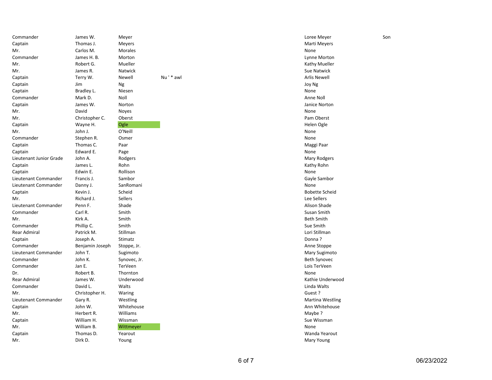| Commander               | James W.        | Meyer          |          | Loree Meyer           | Sor |
|-------------------------|-----------------|----------------|----------|-----------------------|-----|
| Captain                 | Thomas J.       | Meyers         |          | Marti Meyers          |     |
| Mr.                     | Carlos M.       | Morales        |          | None                  |     |
| Commander               | James H. B.     | Morton         |          | Lynne Morton          |     |
| Mr.                     | Robert G.       | Mueller        |          | Kathy Mueller         |     |
| Mr.                     | James R.        | Natwick        |          | <b>Sue Natwick</b>    |     |
| Captain                 | Terry W.        | Newell         | Nu'* awl | Arlis Newell          |     |
| Captain                 | Jim             | Ng             |          | Joy Ng                |     |
| Captain                 | Bradley L.      | Niesen         |          | None                  |     |
| Commander               | Mark D.         | Noll           |          | Anne Noll             |     |
| Captain                 | James W.        | Norton         |          | Janice Norton         |     |
| Mr.                     | David           | Noyes          |          | None                  |     |
| Mr.                     | Christopher C.  | Oberst         |          | Pam Oberst            |     |
| Captain                 | Wayne H.        | Ogle           |          | Helen Ogle            |     |
| Mr.                     | John J.         | O'Neill        |          | None                  |     |
| Commander               | Stephen R.      | Osmer          |          | None                  |     |
| Captain                 | Thomas C.       | Paar           |          | Maggi Paar            |     |
| Captain                 | Edward E.       | Page           |          | None                  |     |
| Lieutenant Junior Grade | John A.         | Rodgers        |          | <b>Mary Rodgers</b>   |     |
| Captain                 | James L.        | Rohn           |          | Kathy Rohn            |     |
| Captain                 | Edwin E.        | Rollison       |          | None                  |     |
| Lieutenant Commander    | Francis J.      | Sambor         |          | Gayle Sambor          |     |
| Lieutenant Commander    | Danny J.        | SanRomani      |          | None                  |     |
| Captain                 | Kevin J.        | Scheid         |          | <b>Bobette Scheid</b> |     |
| Mr.                     | Richard J.      | <b>Sellers</b> |          | Lee Sellers           |     |
| Lieutenant Commander    | Penn F.         | Shade          |          | Alison Shade          |     |
| Commander               | Carl R.         | Smith          |          | Susan Smith           |     |
| Mr.                     | Kirk A.         | Smith          |          | <b>Beth Smith</b>     |     |
| Commander               | Phillip C.      | Smith          |          | Sue Smith             |     |
| Rear Admiral            | Patrick M.      | Stillman       |          | Lori Stillman         |     |
| Captain                 | Joseph A.       | Stimatz        |          | Donna?                |     |
| Commander               | Benjamin Joseph | Stoppe, Jr.    |          | Anne Stoppe           |     |
| Lieutenant Commander    | John T.         | Sugimoto       |          | Mary Sugimoto         |     |
| Commander               | John K.         | Synovec, Jr.   |          | <b>Beth Synovec</b>   |     |
| Commander               | Jan E.          | TerVeen        |          | Lois TerVeen          |     |
| Dr.                     | Robert B.       | Thornton       |          | None                  |     |
| <b>Rear Admiral</b>     | James W.        | Underwood      |          | Kathie Underwood      |     |
| Commander               | David L.        | Walts          |          | Linda Walts           |     |
| Mr.                     | Christopher H.  | Waring         |          | Guest?                |     |
| Lieutenant Commander    | Gary R.         | Westling       |          | Martina Westling      |     |
| Captain                 | John W.         | Whitehouse     |          | Ann Whitehouse        |     |
| Mr.                     | Herbert R.      | Williams       |          | Maybe?                |     |
| Captain                 | William H.      | Wissman        |          | Sue Wissman           |     |
| Mr.                     | William B.      | Wittmeyer      |          | None                  |     |
| Captain                 | Thomas D.       | Yearout        |          | Wanda Yearout         |     |
| Mr.                     | Dirk D.         | Young          |          | <b>Mary Young</b>     |     |
|                         |                 |                |          |                       |     |